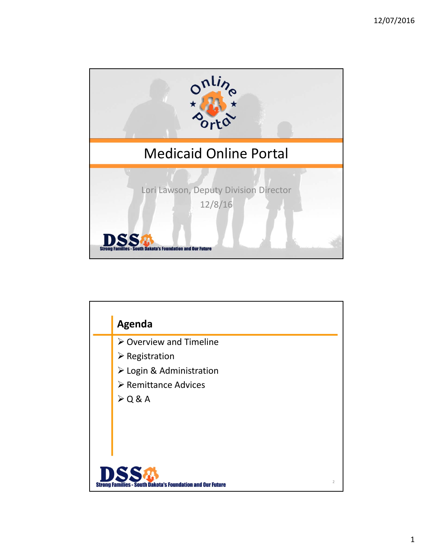

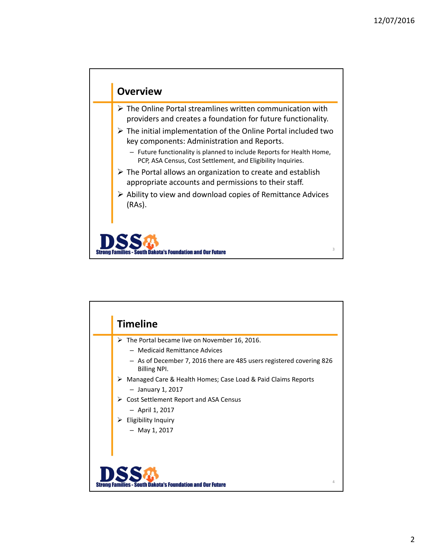

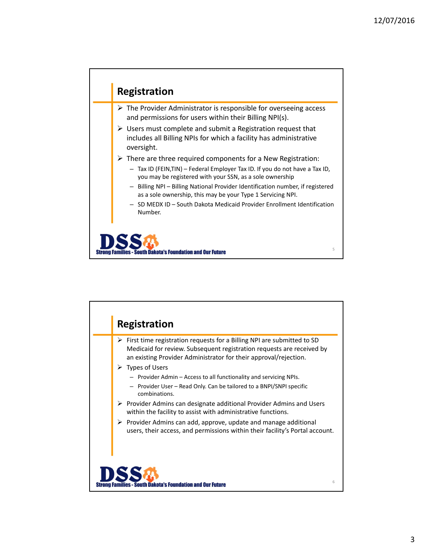

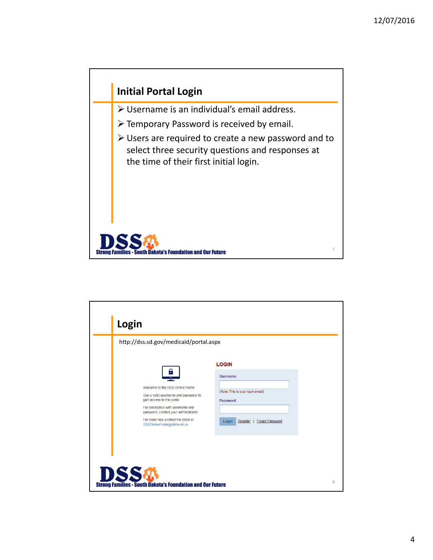

| Login<br>http://dss.sd.gov/medicaid/portal.aspx                                                                                                                                                                                                              |                                                                                                                         |
|--------------------------------------------------------------------------------------------------------------------------------------------------------------------------------------------------------------------------------------------------------------|-------------------------------------------------------------------------------------------------------------------------|
| θ<br>Welcome to the DSS Online Portal<br>Use a valid username and password to<br>gain access to the portal<br>For assistance with username and<br>password, contact your administrator.<br>For more help contact the State at<br>DSSOnlinePortal@state.sd.us | <b>LOGIN</b><br><b>Username</b><br>(Note: This is your login email)<br>Password<br>Forgot Password<br>Register<br>Login |
| <b>DSS&amp;</b>                                                                                                                                                                                                                                              |                                                                                                                         |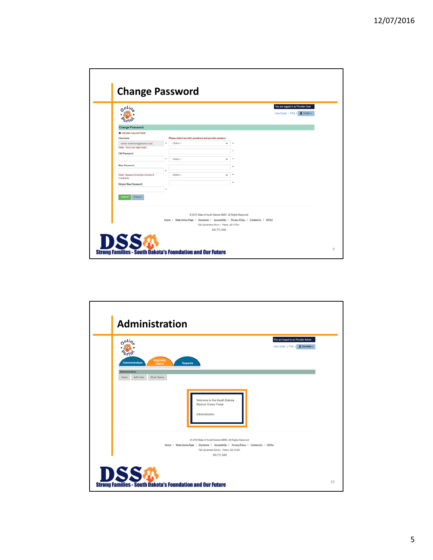| onlis                                                             |                                                                                                                                     |              | You are logged in as Provider User<br>User Guide   FAQ   1 Tester - |
|-------------------------------------------------------------------|-------------------------------------------------------------------------------------------------------------------------------------|--------------|---------------------------------------------------------------------|
| <b>Change Password</b>                                            |                                                                                                                                     |              |                                                                     |
| · indicates required fields                                       |                                                                                                                                     |              |                                                                     |
| Username                                                          | Please select security questions and provide answers                                                                                |              |                                                                     |
| tester.testerson@testers.test<br>(Note: This is your login email) | -Select-                                                                                                                            | ◡            |                                                                     |
|                                                                   |                                                                                                                                     |              |                                                                     |
| <b>Old Password</b>                                               |                                                                                                                                     |              |                                                                     |
|                                                                   | -Select-                                                                                                                            | $\checkmark$ |                                                                     |
| <b>New Password</b>                                               |                                                                                                                                     |              |                                                                     |
| (Note: Password should be minimum 8)<br>characters)               | -Select-                                                                                                                            | $\checkmark$ |                                                                     |
| Retype New Password                                               |                                                                                                                                     |              |                                                                     |
|                                                                   |                                                                                                                                     |              |                                                                     |
| Submi<br>Cancel                                                   |                                                                                                                                     |              |                                                                     |
|                                                                   | @ 2016 State of South Dakota MMIS. All Rights Reserved.                                                                             |              |                                                                     |
|                                                                   | Home   State Home Page   Disclaimer   Accessibility   Privacy Policy   Contact Us   HIPAA<br>700 Governers Drive   Pierre, SD 57501 |              |                                                                     |
|                                                                   | 606.773.3496                                                                                                                        |              |                                                                     |

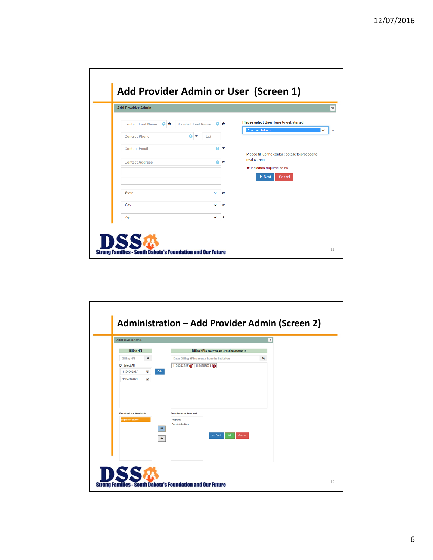| <b>Add Provider Admin</b>                |                               |         |                                                                 |
|------------------------------------------|-------------------------------|---------|-----------------------------------------------------------------|
| <b>Contact First Name</b><br>$\bullet$ * | <b>Contact Last Name</b><br>⋒ | $\star$ | Please select User Type to get started                          |
| <b>Contact Phone</b>                     | $\bullet$<br>$\star$<br>Ext   |         | <b>Provider Admin</b>                                           |
| <b>Contact Email</b>                     | $\bullet$                     | $\ast$  |                                                                 |
| <b>Contact Address</b>                   | €                             | $\ast$  | Please fill up the contact details to proceed to<br>next screen |
|                                          |                               |         | # indicates required fields                                     |
|                                          |                               |         | <b>N</b> Next<br>Cancel                                         |
| <b>State</b>                             | ◡                             | $\star$ |                                                                 |
| City                                     | $\checkmark$                  | $\star$ |                                                                 |
| Zip                                      | <b>V</b>                      | $\star$ |                                                                 |

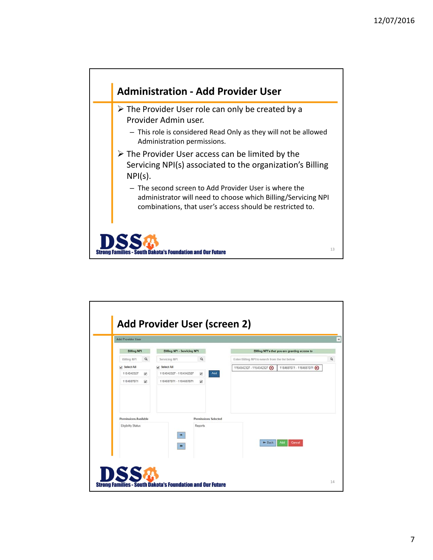

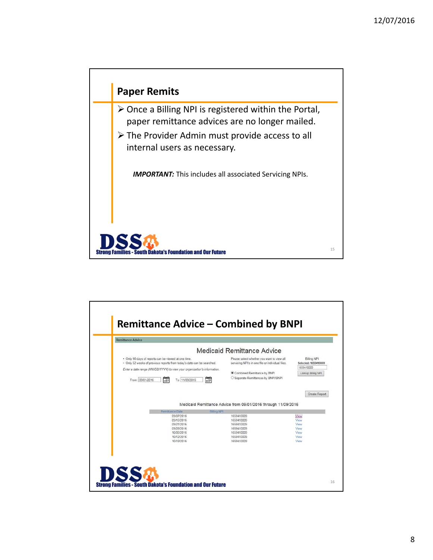